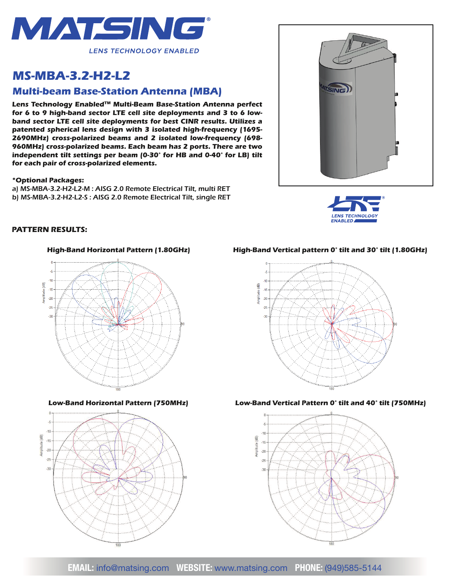

# *MS-MBA-3.2-H2-L2*

# *Multi-beam Base-Station Antenna (MBA)*

*Lens Technology EnabledTM Multi-Beam Base-Station Antenna perfect for 6 to 9 high-band sector LTE cell site deployments and 3 to 6 lowband sector LTE cell site deployments for best CINR results. Utilizes a patented spherical lens design with 3 isolated high-frequency (1695- 2690MHz) cross-polarized beams and 2 isolated low-frequency (698- 960MHz) cross-polarized beams. Each beam has 2 ports. There are two independent tilt settings per beam (0-30° for HB and 0-40° for LB) tilt for each pair of cross-polarized elements.*

#### *\*Optional Packages:*

*a) MS-MBA-3.2-H2-L2-M : AISG 2.0 Remote Electrical Tilt, multi RET b) MS-MBA-3.2-H2-L2-S : AISG 2.0 Remote Electrical Tilt, single RET*





## *PATTERN RESULTS:*





*High-Band Horizontal Pattern (1.80GHz) High-Band Vertical pattern 0° tilt and 30° tilt (1.80GHz)*



#### *Low-Band Horizontal Pattern (750MHz) Low-Band Vertical Pattern 0° tilt and 40° tilt (750MHz)*